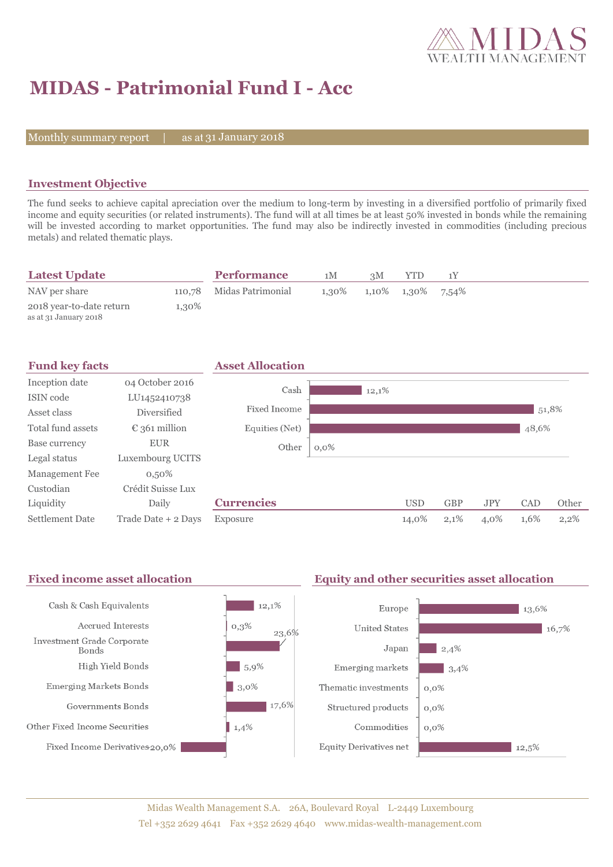

# **MIDAS - Patrimonial Fund I - Acc**

Monthly summary report  $|$ 

as at 31 January 2018

### **Investment Objective**

The fund seeks to achieve capital apreciation over the medium to long-term by investing in a diversified portfolio of primarily fixed income and equity securities (or related instruments). The fund will at all times be at least 50% invested in bonds while the remaining will be invested according to market opportunities. The fund may also be indirectly invested in commodities (including precious metals) and related thematic plays.

| <b>Latest Update</b>                              |       | <b>Performance</b>       | 1M    | зM |                      |  |  |
|---------------------------------------------------|-------|--------------------------|-------|----|----------------------|--|--|
| NAV per share                                     |       | 110,78 Midas Patrimonial | 1.30% |    | 1,10\% 1,30\% 7,54\% |  |  |
| 2018 year-to-date return<br>as at 31 January 2018 | 1.30% |                          |       |    |                      |  |  |

| <b>Fund key facts</b> |                        | <b>Asset Allocation</b> |         |       |            |            |            |       |       |
|-----------------------|------------------------|-------------------------|---------|-------|------------|------------|------------|-------|-------|
| Inception date        | 04 October 2016        | Cash                    |         | 12,1% |            |            |            |       |       |
| ISIN code             | LU1452410738           |                         |         |       |            |            |            |       |       |
| Asset class           | <b>Diversified</b>     | Fixed Income            |         |       |            |            |            | 51,8% |       |
| Total fund assets     | $\epsilon$ 361 million | Equities (Net)          |         |       |            |            |            | 48,6% |       |
| Base currency         | <b>EUR</b>             | Other                   | $0,0\%$ |       |            |            |            |       |       |
| Legal status          | Luxembourg UCITS       |                         |         |       |            |            |            |       |       |
| <b>Management Fee</b> | $0,50\%$               |                         |         |       |            |            |            |       |       |
| Custodian             | Crédit Suisse Lux      |                         |         |       |            |            |            |       |       |
| Liquidity             | Daily                  | <b>Currencies</b>       |         |       | <b>USD</b> | <b>GBP</b> | <b>JPY</b> | CAD   | Other |
| Settlement Date       | Trade Date + 2 Days    | Exposure                |         |       | 14,0%      | 2,1%       | 4,0%       | 1,6%  | 2,2%  |

#### Fixed income asset allocation **Equity and other securities asset allocation** Cash & Cash Equivalents  $12,1%$ Europe  $\blacksquare$  13,6% Accrued Interests  $0,3%$ **United States**  $16,7%$ 23,6% Investment Grade Corporate Japan  $|2,4\%$ Bonds  $-5,9%$ High Yield Bonds Emerging markets  $\Box$  3,4%  $\frac{1}{3}$ ,0% Emerging Markets Bonds Thematic investments  $0,0\%$  $17,6\%$ Governments Bonds Structured products  $0,0\%$



Fixed Income Derivatives 20,0%



Commodities

**Equity Derivatives net** 

 $0,0\%$ 

 $12,5%$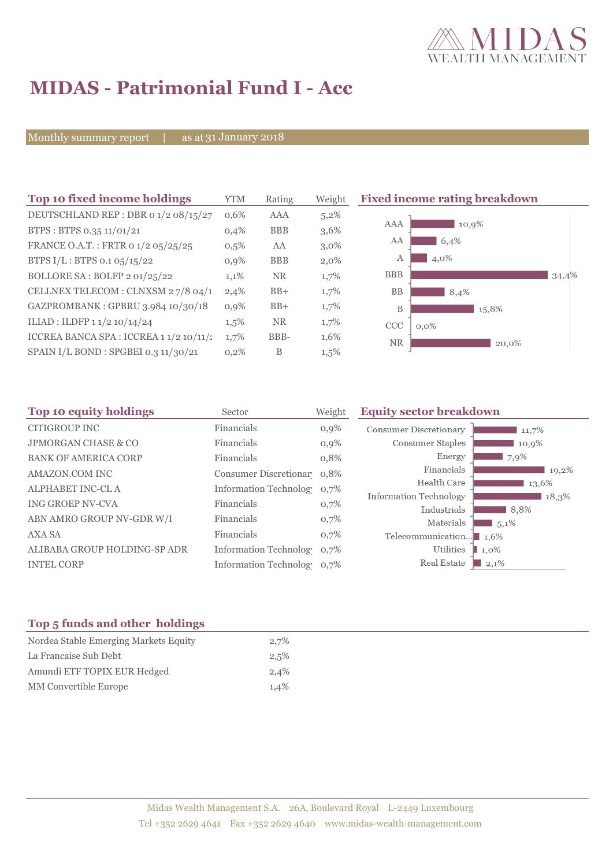

# **MIDAS - Patrimonial Fund I - Acc**

Monthly summary report | as at 31 January 2018

| Top 10 fixed income holdings            | <b>YTM</b> | Rating     | Weight  | <b>Fixed</b> |
|-----------------------------------------|------------|------------|---------|--------------|
| DEUTSCHLAND REP : DBR 0 1/2 08/15/27    | 0,6%       | AAA        | 5,2%    |              |
| BTPS: BTPS 0.35 11/01/21                | 0.4%       | <b>BBB</b> | 3,6%    | P            |
| FRANCE O.A.T.: FRTR 0 1/2 05/25/25      | 0,5%       | AA         | $3,0\%$ |              |
| BTPS I/L: BTPS 0.1 05/15/22             | 0.9%       | <b>BBB</b> | 2,0%    |              |
| BOLLORE SA: BOLFP 2 01/25/22            | 1,1%       | <b>NR</b>  | 1,7%    | ł            |
| CELLNEX TELECOM : CLNXSM 27/8 04/1      | 2,4%       | $BB+$      | 1,7%    |              |
| GAZPROMBANK: GPBRU 3.984 10/30/18       | 0,9%       | $BB+$      | 1,7%    |              |
| ILIAD: ILDFP 1 1/2 10/14/24             | $1,5\%$    | <b>NR</b>  | 1,7%    |              |
| ICCREA BANCA SPA : ICCREA 1 1/2 10/11/2 | 1,7%       | BBB-       | 1,6%    |              |
| SPAIN I/L BOND: SPGBEI 0.3 11/30/21     | 0,2%       | B          | $1,5\%$ |              |
|                                         |            |            |         |              |

## **The 10 fixed income rating breakdown** AAA  $\frac{1}{10,9\%}$



| Sector     | Weight                   | <b>Equity sector breakdown</b>                                                                                                  |
|------------|--------------------------|---------------------------------------------------------------------------------------------------------------------------------|
| Financials | $0,9\%$                  | <b>Consumer Discretionary</b><br>11,7%                                                                                          |
| Financials | 0,9%                     | Consumer Staples<br>10,9%                                                                                                       |
| Financials | 0,8%                     | Energy<br>7,9%                                                                                                                  |
|            |                          | Financials<br>19,2%                                                                                                             |
|            |                          | Health Care<br>13,6%                                                                                                            |
|            |                          | Information Technology<br>18,3%                                                                                                 |
|            |                          | Industrials<br>$8.8\%$                                                                                                          |
|            | 0,7%                     | Materials<br>5,1%                                                                                                               |
| Financials | 0,7%                     | Telecommunication $\blacksquare$ 1,6%                                                                                           |
|            | 0,7%                     | Utilities<br>$1,0\%$                                                                                                            |
|            |                          | Real Estate<br>$2,1\%$                                                                                                          |
|            | Financials<br>Financials | Consumer Discretionar 0,8%<br>Information Technolog 0,7%<br>0,7%<br><b>Information Technology</b><br>Information Technolog 0,7% |

### **Top 5 funds and other holdings**

| Nordea Stable Emerging Markets Equity | 2,7% |
|---------------------------------------|------|
| La Francaise Sub Debt                 | 2,5% |
| Amundi ETF TOPIX EUR Hedged           | 2,4% |
| <b>MM</b> Convertible Europe          | 1,4% |